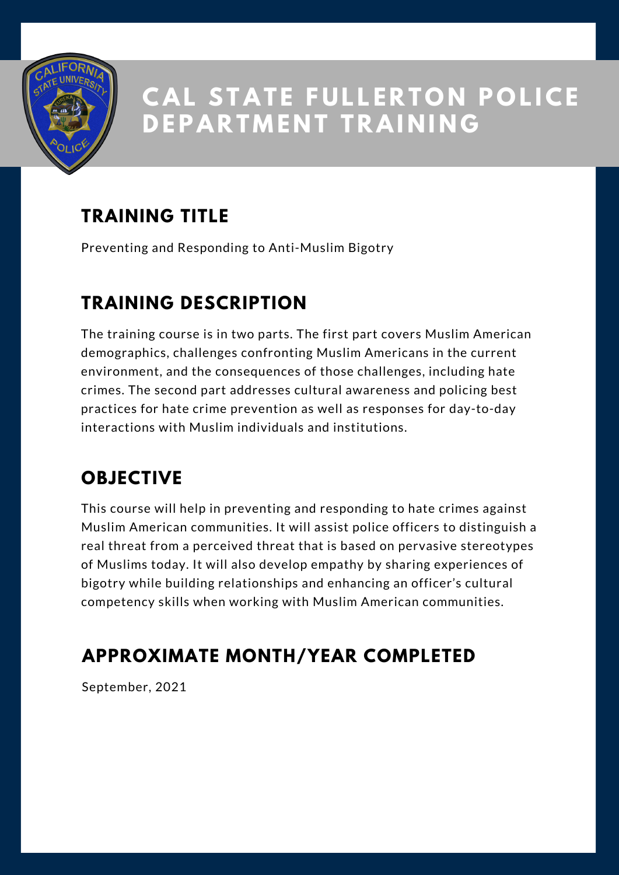

## **TRAINING TITLE**

Preventing and Responding to Anti-Muslim Bigotry

#### **TRAINING DESCRIPTION**

The training course is in two parts. The first part covers Muslim American demographics, challenges confronting Muslim Americans in the current environment, and the consequences of those challenges, including hate crimes. The second part addresses cultural awareness and policing best practices for hate crime prevention as well as responses for day-to-day interactions with Muslim individuals and institutions.

### **OBJECTIVE**

This course will help in preventing and responding to hate crimes against Muslim American communities. It will assist police officers to distinguish a real threat from a perceived threat that is based on pervasive stereotypes of Muslims today. It will also develop empathy by sharing experiences of bigotry while building relationships and enhancing an officer's cultural competency skills when working with Muslim American communities.

#### **APPROXIMATE MONTH/YEAR COMPLETED**

September, 2021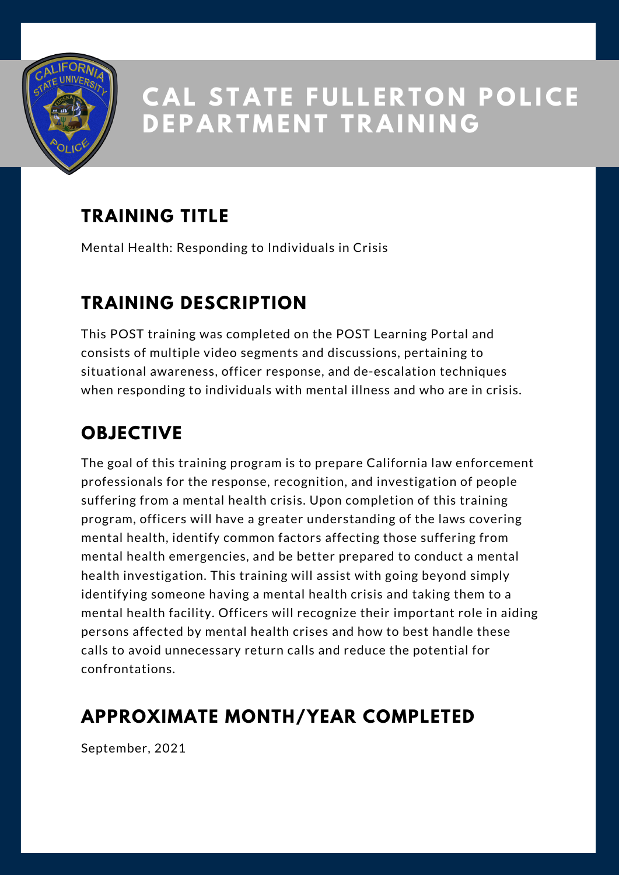

## **TRAINING TITLE**

Mental Health: Responding to Individuals in Crisis

#### **TRAINING DESCRIPTION**

This POST training was completed on the POST Learning Portal and consists of multiple video segments and discussions, pertaining to situational awareness, officer response, and de-escalation techniques when responding to individuals with mental illness and who are in crisis.

## **OBJECTIVE**

The goal of this training program is to prepare California law enforcement professionals for the response, recognition, and investigation of people suffering from a mental health crisis. Upon completion of this training program, officers will have a greater understanding of the laws covering mental health, identify common factors affecting those suffering from mental health emergencies, and be better prepared to conduct a mental health investigation. This training will assist with going beyond simply identifying someone having a mental health crisis and taking them to a mental health facility. Officers will recognize their important role in aiding persons affected by mental health crises and how to best handle these calls to avoid unnecessary return calls and reduce the potential for confrontations.

#### **APPROXIMATE MONTH/YEAR COMPLETED**

September, 2021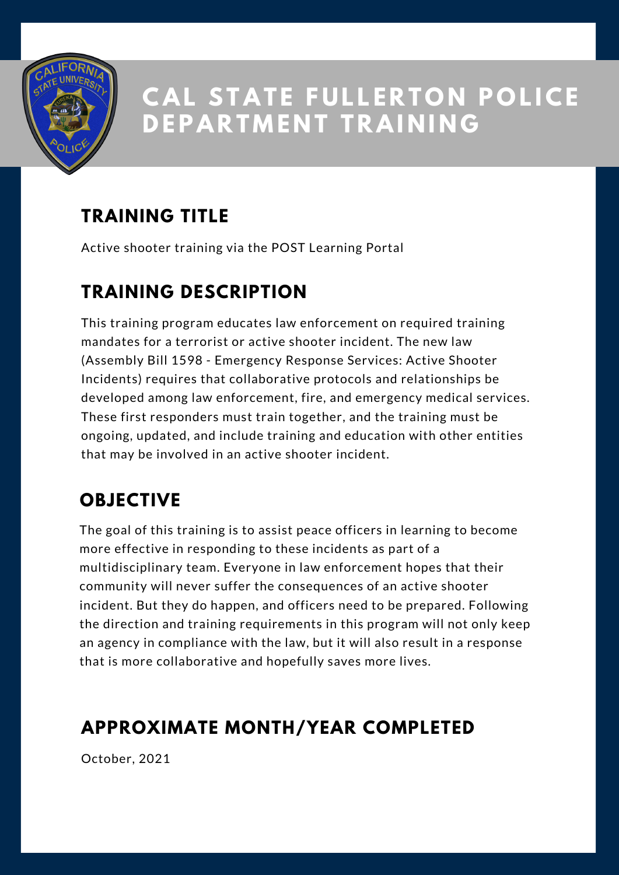

## **TRAINING TITLE**

Active shooter training via the POST Learning Portal

## **TRAINING DESCRIPTION**

This training program educates law enforcement on required training mandates for a terrorist or active shooter incident. The new law (Assembly Bill 1598 - Emergency Response Services: Active Shooter Incidents) requires that collaborative protocols and relationships be developed among law enforcement, fire, and emergency medical services. These first responders must train together, and the training must be ongoing, updated, and include training and education with other entities that may be involved in an active shooter incident.

### **OBJECTIVE**

The goal of this training is to assist peace officers in learning to become more effective in responding to these incidents as part of a multidisciplinary team. Everyone in law enforcement hopes that their community will never suffer the consequences of an active shooter incident. But they do happen, and officers need to be prepared. Following the direction and training requirements in this program will not only keep an agency in compliance with the law, but it will also result in a response that is more collaborative and hopefully saves more lives.

## **APPROXIMATE MONTH/YEAR COMPLETED**

October, 2021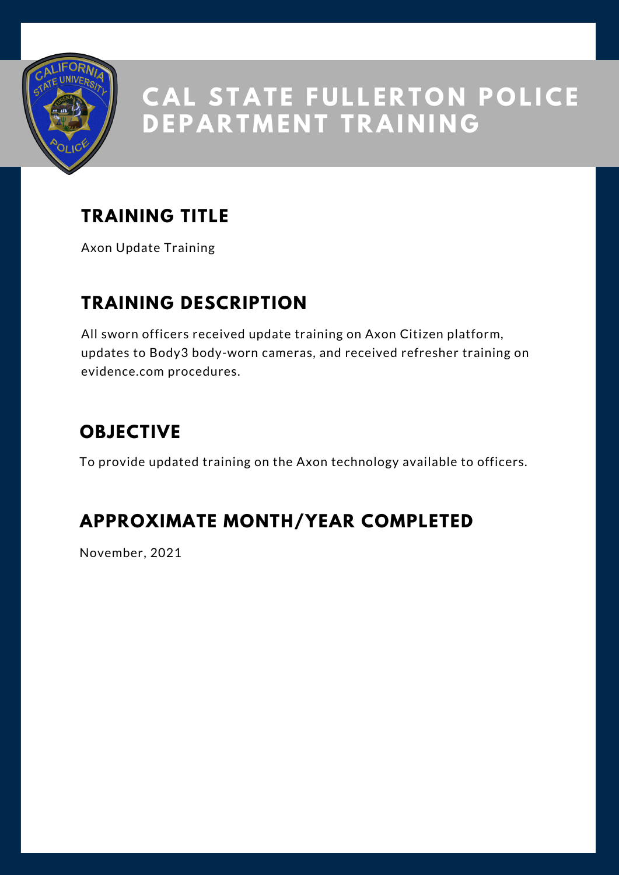

## **TRAINING TITLE**

Axon Update Training

#### **TRAINING DESCRIPTION**

All sworn officers received update training on Axon Citizen platform, updates to Body3 body-worn cameras, and received refresher training on evidence.com procedures.

#### **OBJECTIVE**

To provide updated training on the Axon technology available to officers.

#### **APPROXIMATE MONTH/YEAR COMPLETED**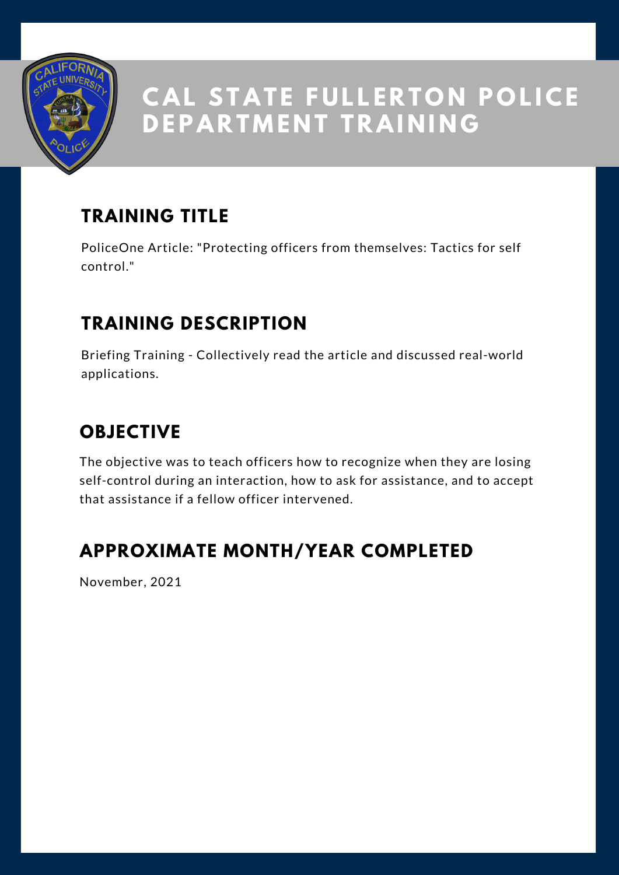

## **TRAINING TITLE**

PoliceOne Article: "Protecting officers from themselves: Tactics for self control."

#### **TRAINING DESCRIPTION**

Briefing Training - Collectively read the article and discussed real-world applications.

### **OBJECTIVE**

The objective was to teach officers how to recognize when they are losing self-control during an interaction, how to ask for assistance, and to accept that assistance if a fellow officer intervened.

#### **APPROXIMATE MONTH/YEAR COMPLETED**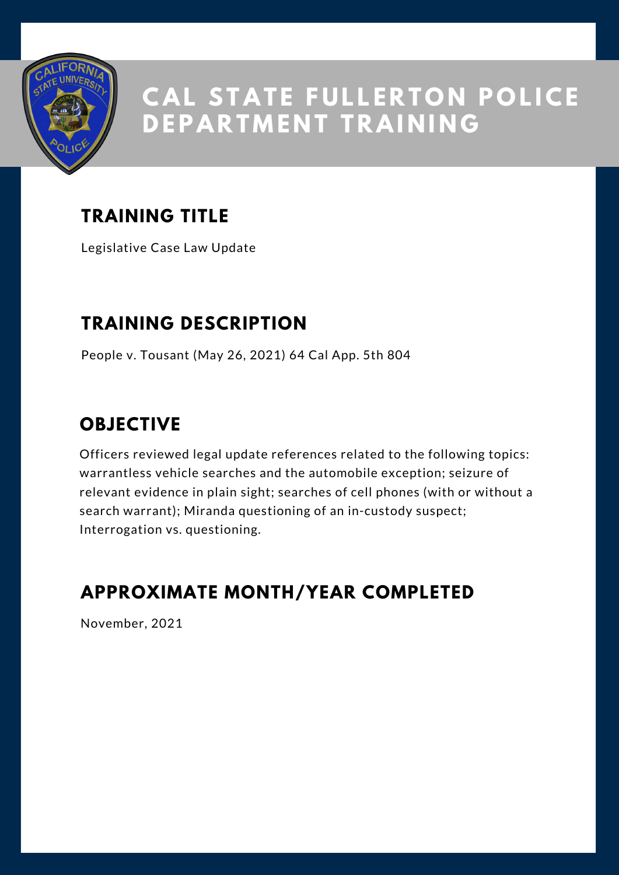

## **TRAINING TITLE**

Legislative Case Law Update

#### **TRAINING DESCRIPTION**

People v. Tousant (May 26, 2021) 64 Cal App. 5th 804

#### **OBJECTIVE**

Officers reviewed legal update references related to the following topics: warrantless vehicle searches and the automobile exception; seizure of relevant evidence in plain sight; searches of cell phones (with or without a search warrant); Miranda questioning of an in-custody suspect; Interrogation vs. questioning.

#### **APPROXIMATE MONTH/YEAR COMPLETED**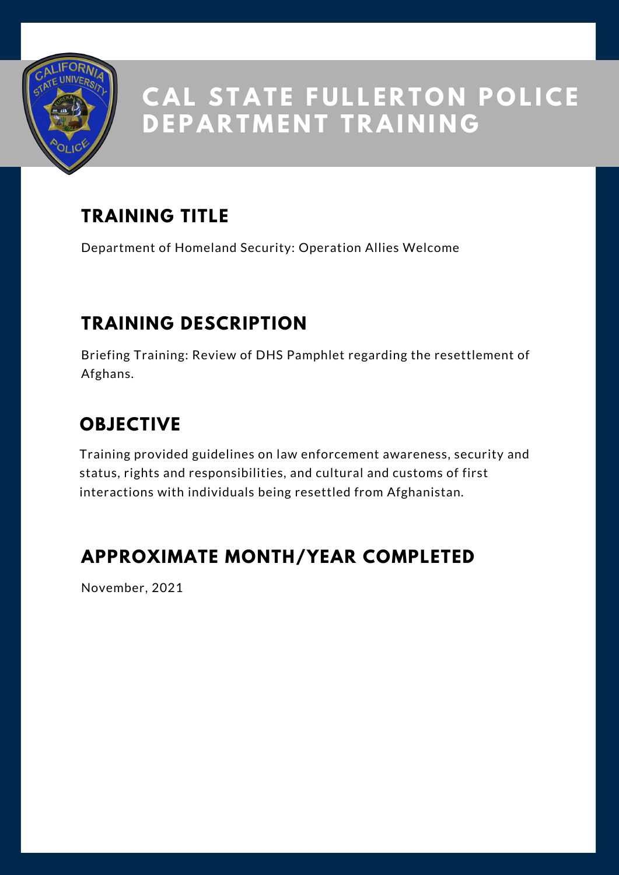

## **TRAINING TITLE**

Department of Homeland Security: Operation Allies Welcome

### **TRAINING DESCRIPTION**

Briefing Training: Review of DHS Pamphlet regarding the resettlement of Afghans.

## **OBJECTIVE**

Training provided guidelines on law enforcement awareness, security and status, rights and responsibilities, and cultural and customs of first interactions with individuals being resettled from Afghanistan.

#### **APPROXIMATE MONTH/YEAR COMPLETED**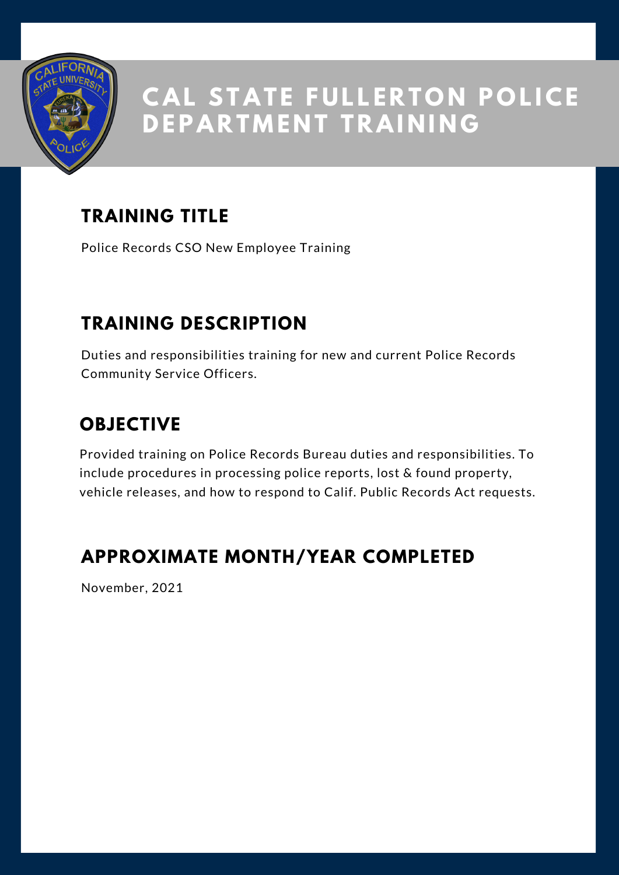

### **TRAINING TITLE**

Police Records CSO New Employee Training

### **TRAINING DESCRIPTION**

Duties and responsibilities training for new and current Police Records Community Service Officers.

## **OBJECTIVE**

Provided training on Police Records Bureau duties and responsibilities. To include procedures in processing police reports, lost & found property, vehicle releases, and how to respond to Calif. Public Records Act requests.

#### **APPROXIMATE MONTH/YEAR COMPLETED**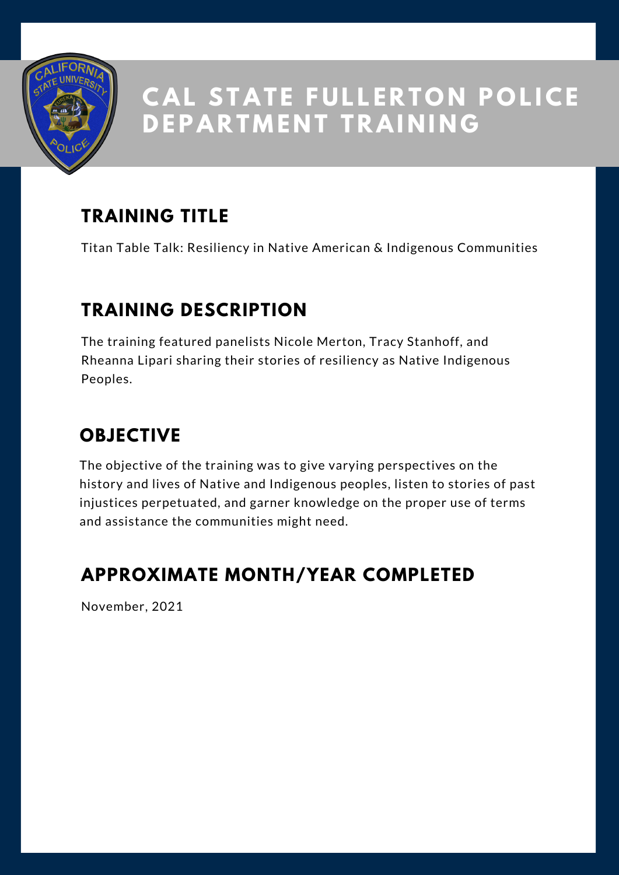

## **TRAINING TITLE**

Titan Table Talk: Resiliency in Native American & Indigenous Communities

#### **TRAINING DESCRIPTION**

The training featured panelists Nicole Merton, Tracy Stanhoff, and Rheanna Lipari sharing their stories of resiliency as Native Indigenous Peoples.

## **OBJECTIVE**

The objective of the training was to give varying perspectives on the history and lives of Native and Indigenous peoples, listen to stories of past injustices perpetuated, and garner knowledge on the proper use of terms and assistance the communities might need.

#### **APPROXIMATE MONTH/YEAR COMPLETED**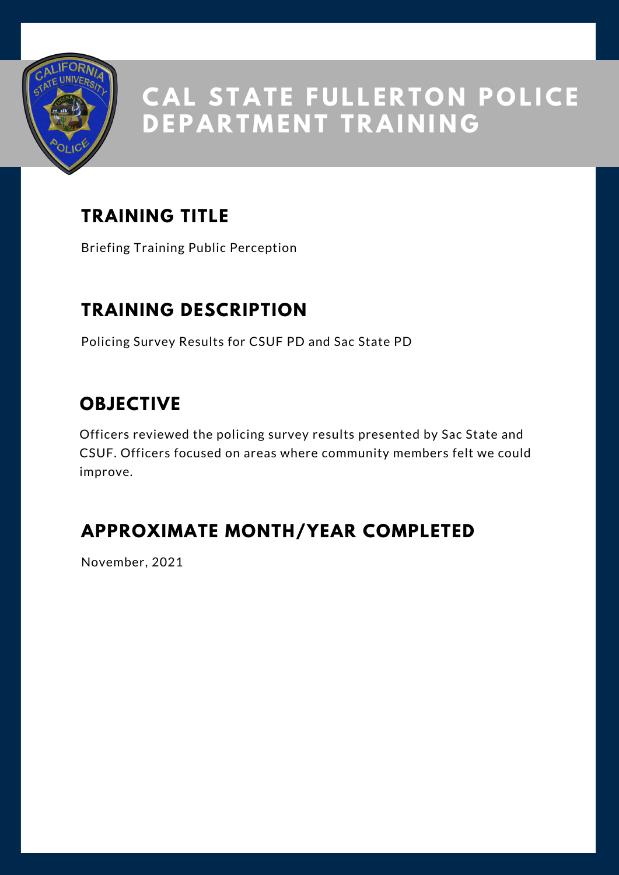

## **TRAINING TITLE**

Briefing Training Public Perception

#### **TRAINING DESCRIPTION**

Policing Survey Results for CSUF PD and Sac State PD

#### **OBJECTIVE**

Officers reviewed the policing survey results presented by Sac State and CSUF. Officers focused on areas where community members felt we could improve.

### **APPROXIMATE MONTH/YEAR COMPLETED**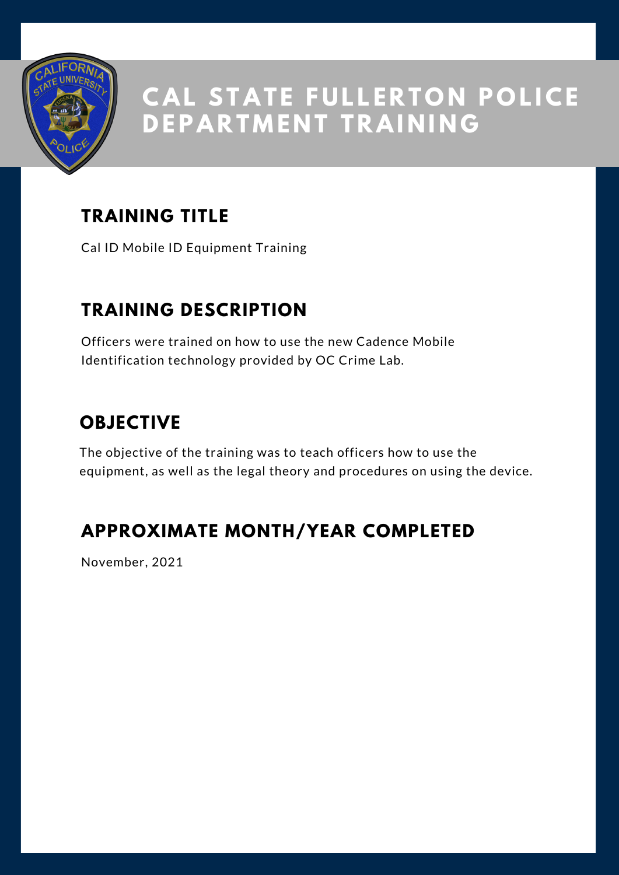

### **TRAINING TITLE**

Cal ID Mobile ID Equipment Training

#### **TRAINING DESCRIPTION**

Officers were trained on how to use the new Cadence Mobile Identification technology provided by OC Crime Lab.

### **OBJECTIVE**

The objective of the training was to teach officers how to use the equipment, as well as the legal theory and procedures on using the device.

### **APPROXIMATE MONTH/YEAR COMPLETED**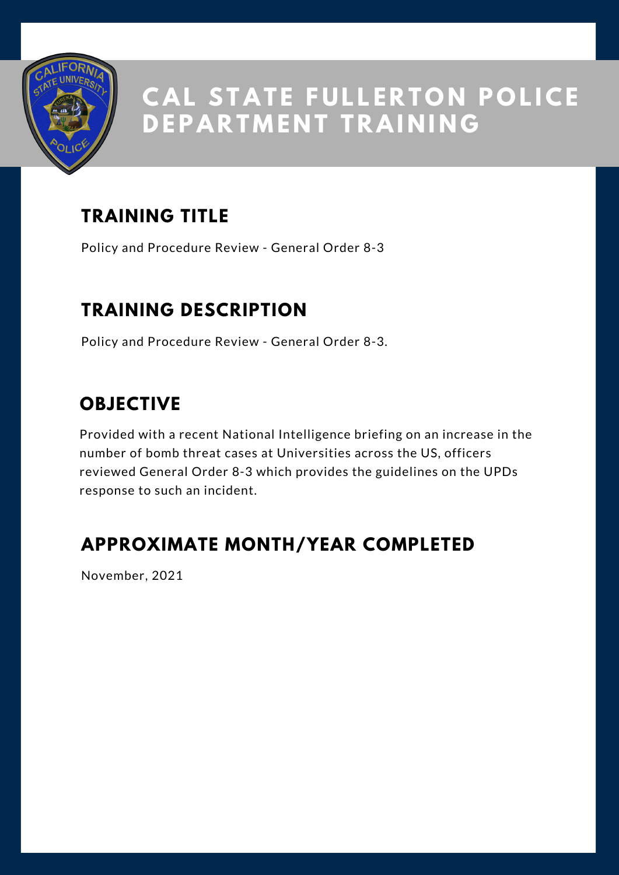

## **TRAINING TITLE**

Policy and Procedure Review - General Order 8-3

#### **TRAINING DESCRIPTION**

Policy and Procedure Review - General Order 8-3.

#### **OBJECTIVE**

Provided with a recent National Intelligence briefing on an increase in the number of bomb threat cases at Universities across the US, officers reviewed General Order 8-3 which provides the guidelines on the UPDs response to such an incident.

#### **APPROXIMATE MONTH/YEAR COMPLETED**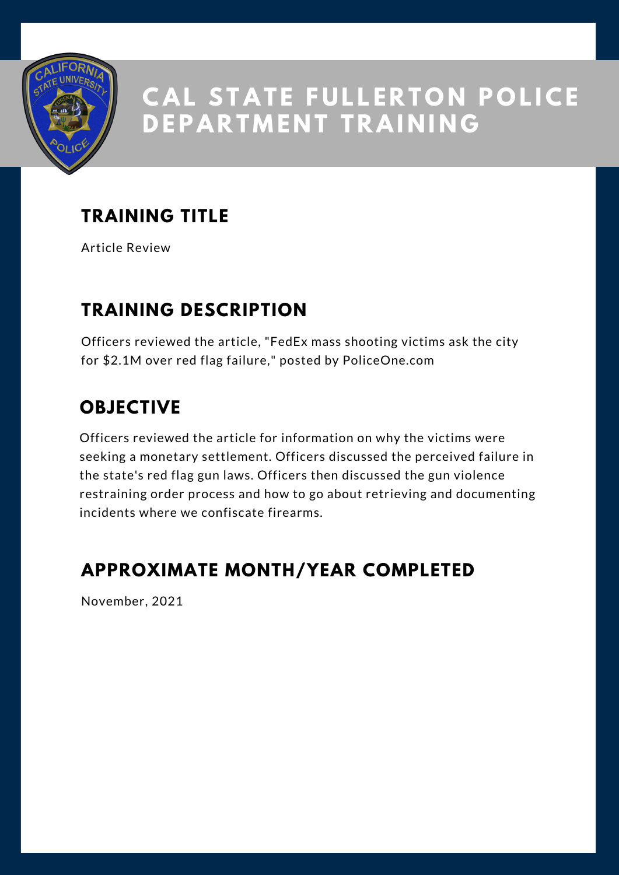

### **TRAINING TITLE**

Article Review

#### **TRAINING DESCRIPTION**

Officers reviewed the article, "FedEx mass shooting victims ask the city for \$2.1M over red flag failure," posted by PoliceOne.com

## **OBJECTIVE**

Officers reviewed the article for information on why the victims were seeking a monetary settlement. Officers discussed the perceived failure in the state's red flag gun laws. Officers then discussed the gun violence restraining order process and how to go about retrieving and documenting incidents where we confiscate firearms.

#### **APPROXIMATE MONTH/YEAR COMPLETED**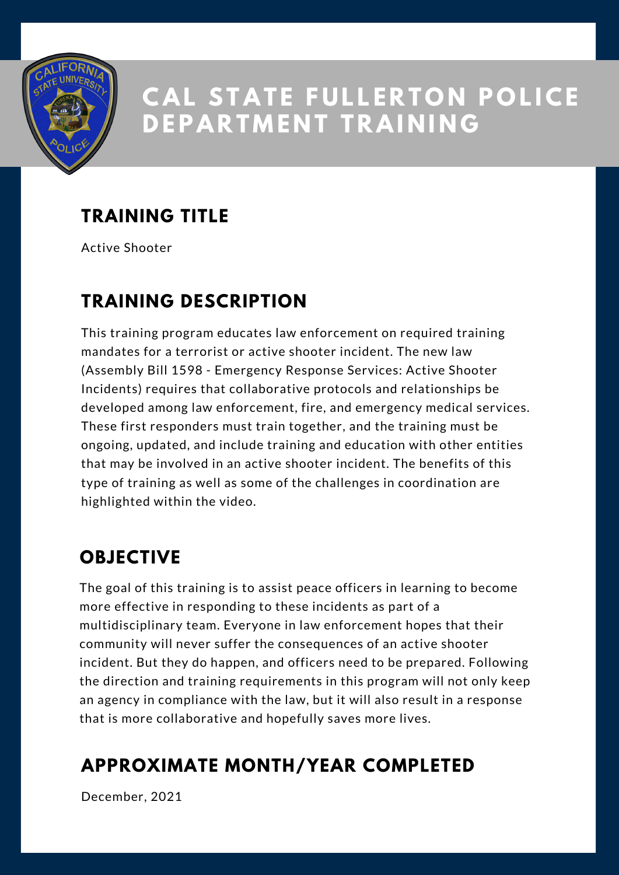

## **TRAINING TITLE**

Active Shooter

#### **TRAINING DESCRIPTION**

This training program educates law enforcement on required training mandates for a terrorist or active shooter incident. The new law (Assembly Bill 1598 - Emergency Response Services: Active Shooter Incidents) requires that collaborative protocols and relationships be developed among law enforcement, fire, and emergency medical services. These first responders must train together, and the training must be ongoing, updated, and include training and education with other entities that may be involved in an active shooter incident. The benefits of this type of training as well as some of the challenges in coordination are highlighted within the video.

#### **OBJECTIVE**

The goal of this training is to assist peace officers in learning to become more effective in responding to these incidents as part of a multidisciplinary team. Everyone in law enforcement hopes that their community will never suffer the consequences of an active shooter incident. But they do happen, and officers need to be prepared. Following the direction and training requirements in this program will not only keep an agency in compliance with the law, but it will also result in a response that is more collaborative and hopefully saves more lives.

#### **APPROXIMATE MONTH/YEAR COMPLETED**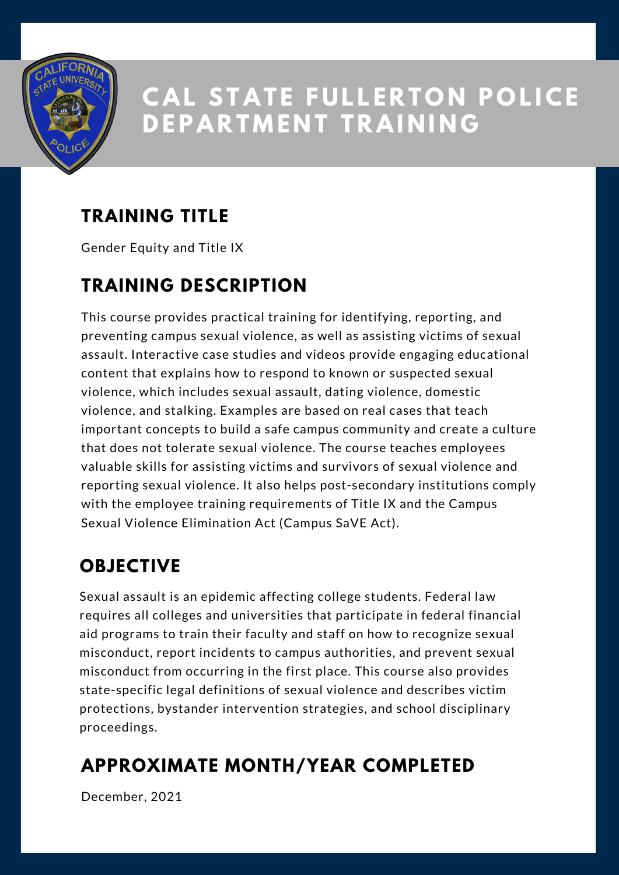

## **TRAINING TITLE**

Gender Equity and Title IX

#### **TRAINING DESCRIPTION**

This course provides practical training for identifying, reporting, and preventing campus sexual violence, as well as assisting victims of sexual assault. Interactive case studies and videos provide engaging educational content that explains how to respond to known or suspected sexual violence, which includes sexual assault, dating violence, domestic violence, and stalking. Examples are based on real cases that teach important concepts to build a safe campus community and create a culture that does not tolerate sexual violence. The course teaches employees valuable skills for assisting victims and survivors of sexual violence and reporting sexual violence. It also helps post-secondary institutions comply with the employee training requirements of Title IX and the Campus Sexual Violence Elimination Act (Campus SaVE Act).

### **OBJECTIVE**

Sexual assault is an epidemic affecting college students. Federal law requires all colleges and universities that participate in federal financial aid programs to train their faculty and staff on how to recognize sexual misconduct, report incidents to campus authorities, and prevent sexual misconduct from occurring in the first place. This course also provides state-specific legal definitions of sexual violence and describes victim protections, bystander intervention strategies, and school disciplinary proceedings.

### **APPROXIMATE MONTH/YEAR COMPLETED**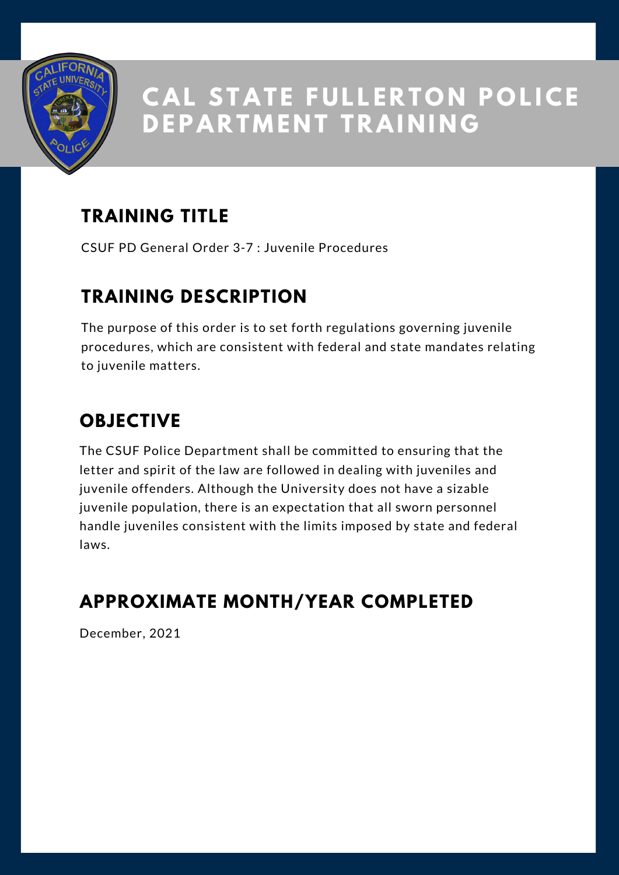

## **TRAINING TITLE**

CSUF PD General Order 3-7 : Juvenile Procedures

#### **TRAINING DESCRIPTION**

The purpose of this order is to set forth regulations governing juvenile procedures, which are consistent with federal and state mandates relating to juvenile matters.

## **OBJECTIVE**

The CSUF Police Department shall be committed to ensuring that the letter and spirit of the law are followed in dealing with juveniles and juvenile offenders. Although the University does not have a sizable juvenile population, there is an expectation that all sworn personnel handle juveniles consistent with the limits imposed by state and federal laws.

#### **APPROXIMATE MONTH/YEAR COMPLETED**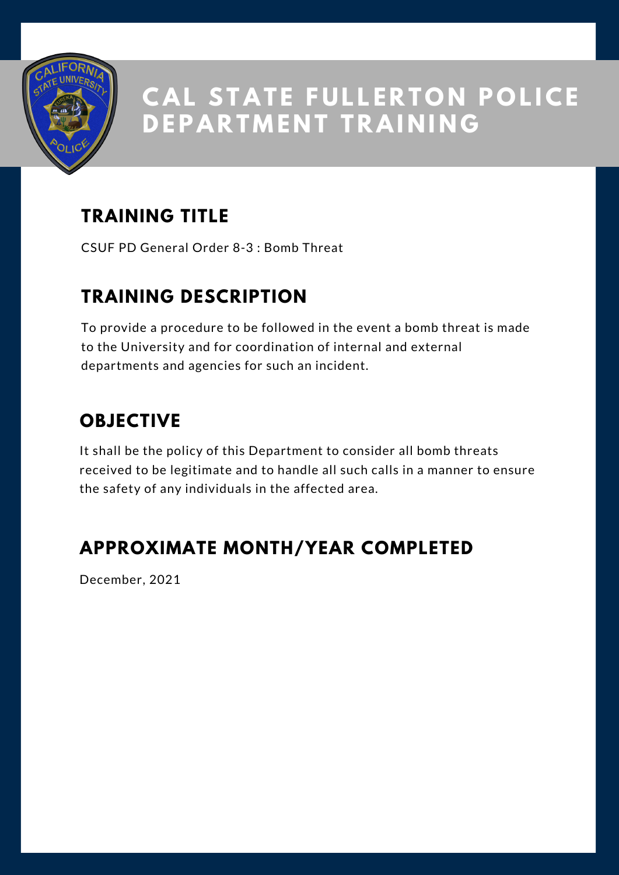

## **TRAINING TITLE**

CSUF PD General Order 8-3 : Bomb Threat

#### **TRAINING DESCRIPTION**

To provide a procedure to be followed in the event a bomb threat is made to the University and for coordination of internal and external departments and agencies for such an incident.

## **OBJECTIVE**

It shall be the policy of this Department to consider all bomb threats received to be legitimate and to handle all such calls in a manner to ensure the safety of any individuals in the affected area.

#### **APPROXIMATE MONTH/YEAR COMPLETED**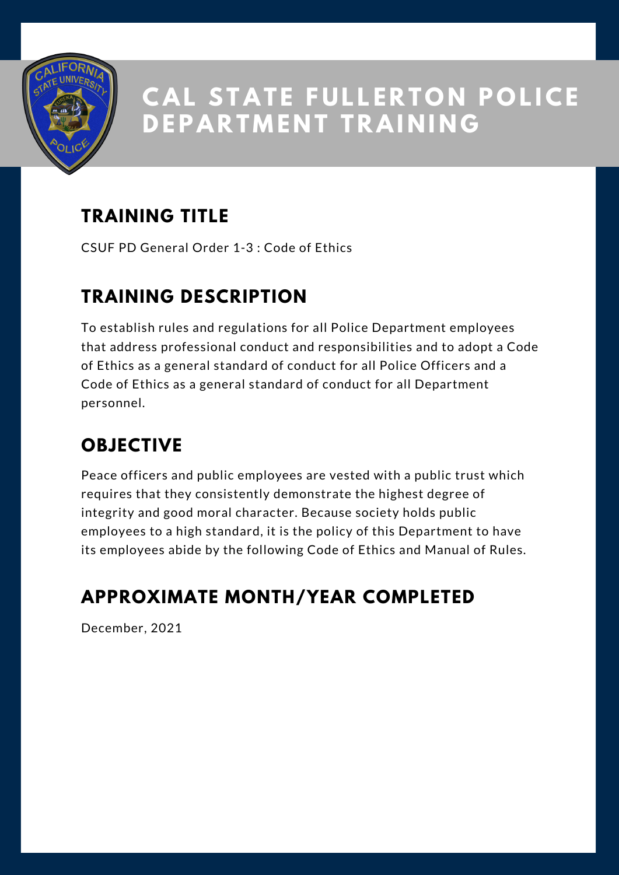

## **TRAINING TITLE**

CSUF PD General Order 1-3 : Code of Ethics

#### **TRAINING DESCRIPTION**

To establish rules and regulations for all Police Department employees that address professional conduct and responsibilities and to adopt a Code of Ethics as a general standard of conduct for all Police Officers and a Code of Ethics as a general standard of conduct for all Department personnel.

### **OBJECTIVE**

Peace officers and public employees are vested with a public trust which requires that they consistently demonstrate the highest degree of integrity and good moral character. Because society holds public employees to a high standard, it is the policy of this Department to have its employees abide by the following Code of Ethics and Manual of Rules.

## **APPROXIMATE MONTH/YEAR COMPLETED**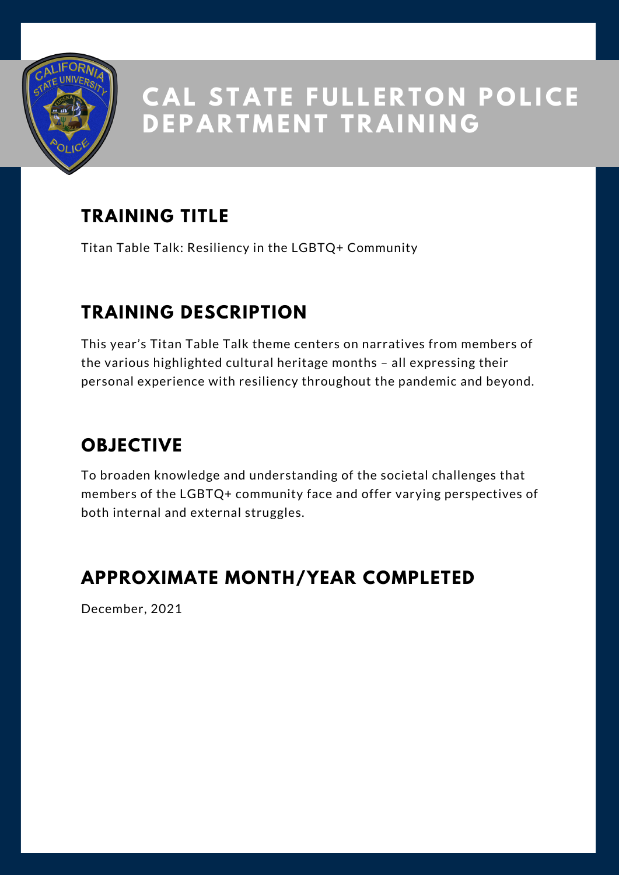

### **TRAINING TITLE**

Titan Table Talk: Resiliency in the LGBTQ+ Community

### **TRAINING DESCRIPTION**

This year's Titan Table Talk theme centers on narratives from members of the various highlighted cultural heritage months – all expressing their personal experience with resiliency throughout the pandemic and beyond.

## **OBJECTIVE**

To broaden knowledge and understanding of the societal challenges that members of the LGBTQ+ community face and offer varying perspectives of both internal and external struggles.

#### **APPROXIMATE MONTH/YEAR COMPLETED**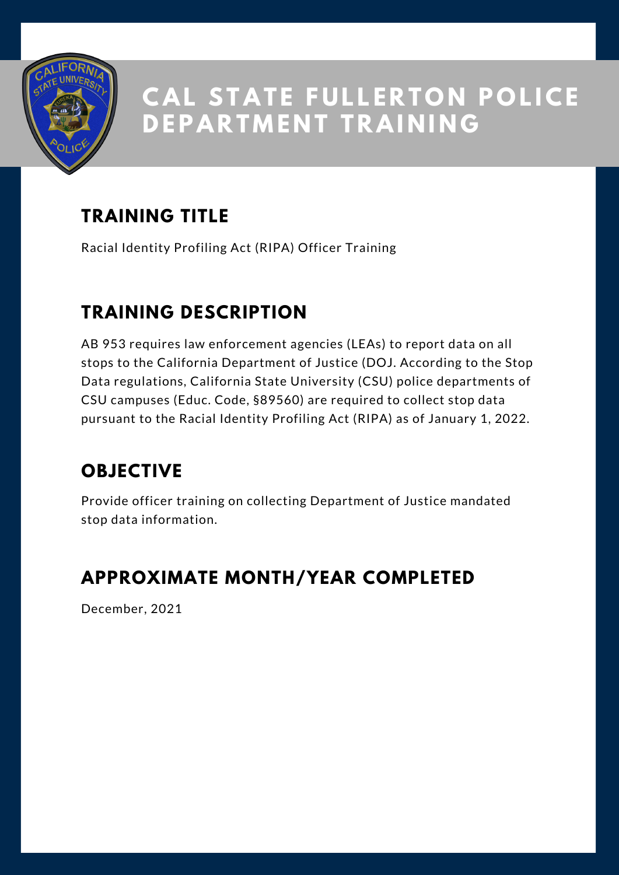

## **TRAINING TITLE**

Racial Identity Profiling Act (RIPA) Officer Training

#### **TRAINING DESCRIPTION**

AB 953 requires law enforcement agencies (LEAs) to report data on all stops to the California Department of Justice (DOJ. According to the Stop Data regulations, California State University (CSU) police departments of CSU campuses (Educ. Code, §89560) are required to collect stop data pursuant to the Racial Identity Profiling Act (RIPA) as of January 1, 2022.

### **OBJECTIVE**

Provide officer training on collecting Department of Justice mandated stop data information.

#### **APPROXIMATE MONTH/YEAR COMPLETED**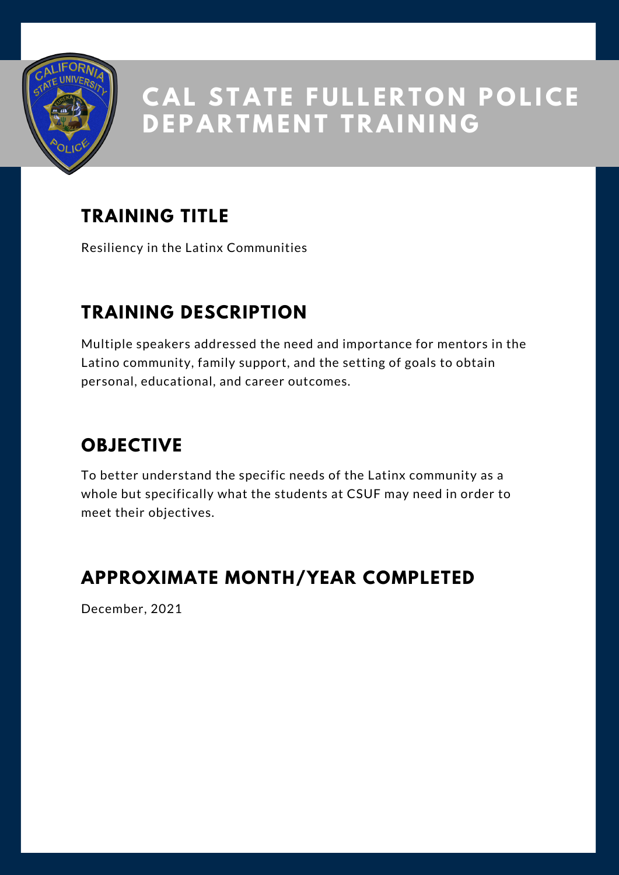

## **TRAINING TITLE**

Resiliency in the Latinx Communities

### **TRAINING DESCRIPTION**

Multiple speakers addressed the need and importance for mentors in the Latino community, family support, and the setting of goals to obtain personal, educational, and career outcomes.

### **OBJECTIVE**

To better understand the specific needs of the Latinx community as a whole but specifically what the students at CSUF may need in order to meet their objectives.

#### **APPROXIMATE MONTH/YEAR COMPLETED**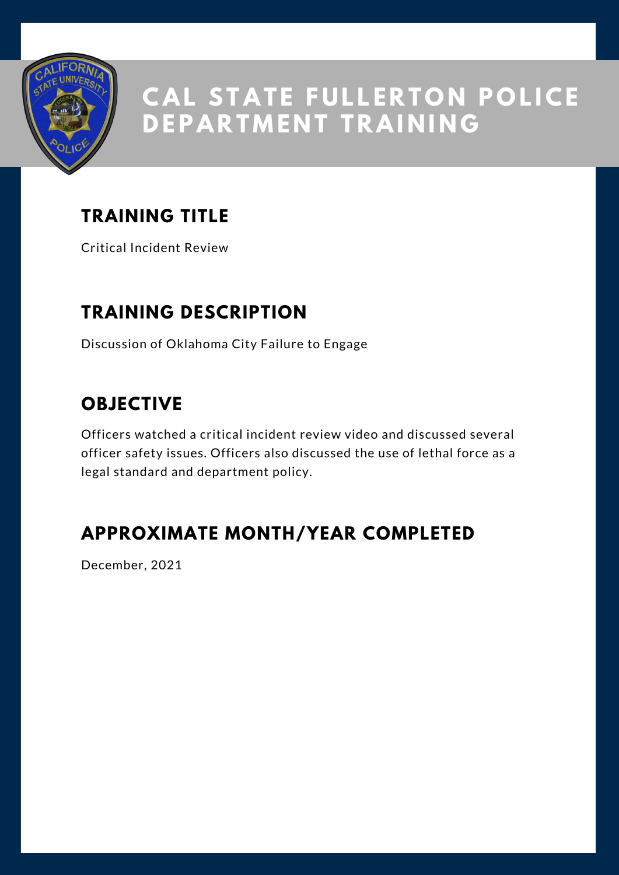

## **TRAINING TITLE**

Critical Incident Review

#### **TRAINING DESCRIPTION**

Discussion of Oklahoma City Failure to Engage

#### **OBJECTIVE**

Officers watched a critical incident review video and discussed several officer safety issues. Officers also discussed the use of lethal force as a legal standard and department policy.

#### **APPROXIMATE MONTH/YEAR COMPLETED**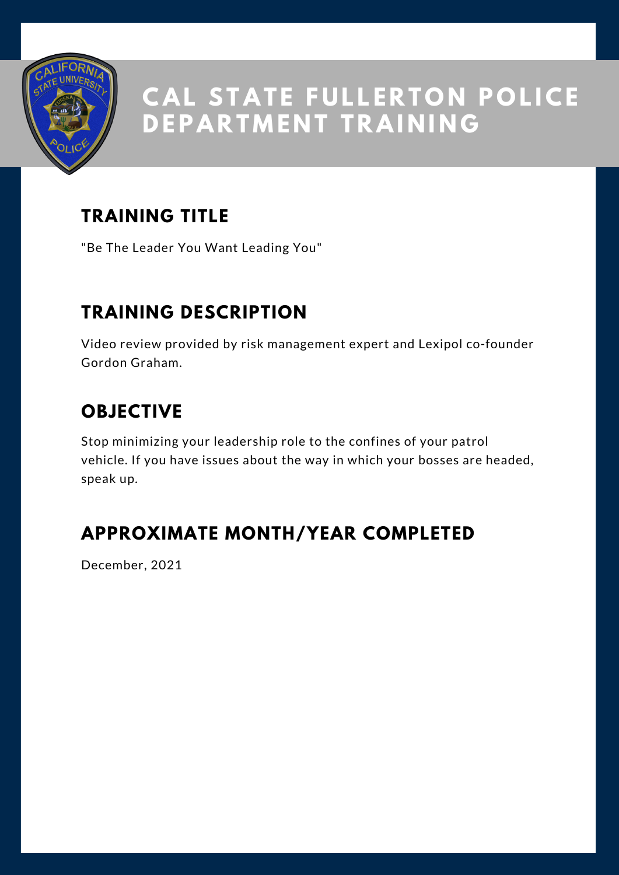

## **TRAINING TITLE**

"Be The Leader You Want Leading You"

### **TRAINING DESCRIPTION**

Video review provided by risk management expert and Lexipol co-founder Gordon Graham.

#### **OBJECTIVE**

Stop minimizing your leadership role to the confines of your patrol vehicle. If you have issues about the way in which your bosses are headed, speak up.

### **APPROXIMATE MONTH/YEAR COMPLETED**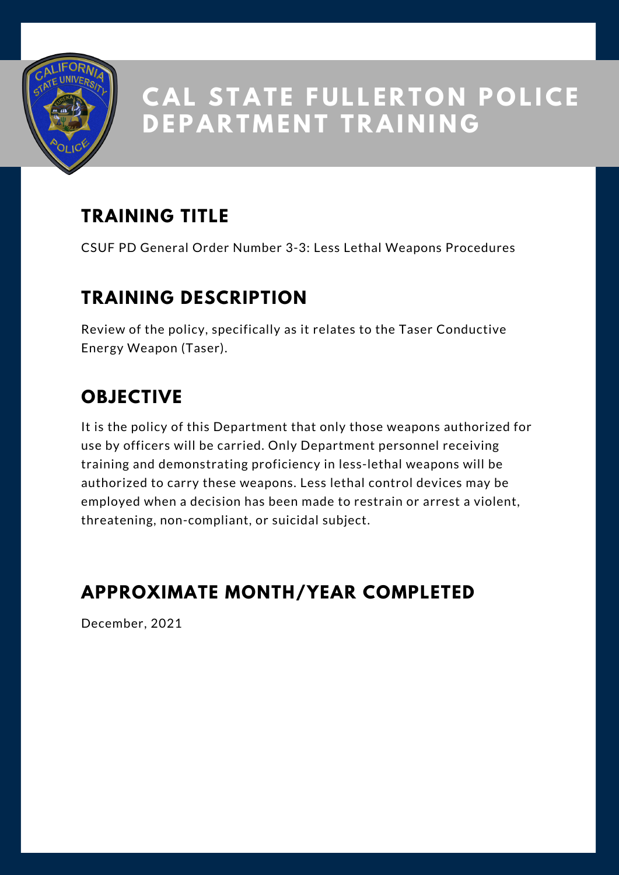

### **TRAINING TITLE**

CSUF PD General Order Number 3-3: Less Lethal Weapons Procedures

#### **TRAINING DESCRIPTION**

Review of the policy, specifically as it relates to the Taser Conductive Energy Weapon (Taser).

## **OBJECTIVE**

It is the policy of this Department that only those weapons authorized for use by officers will be carried. Only Department personnel receiving training and demonstrating proficiency in less-lethal weapons will be authorized to carry these weapons. Less lethal control devices may be employed when a decision has been made to restrain or arrest a violent, threatening, non-compliant, or suicidal subject.

#### **APPROXIMATE MONTH/YEAR COMPLETED**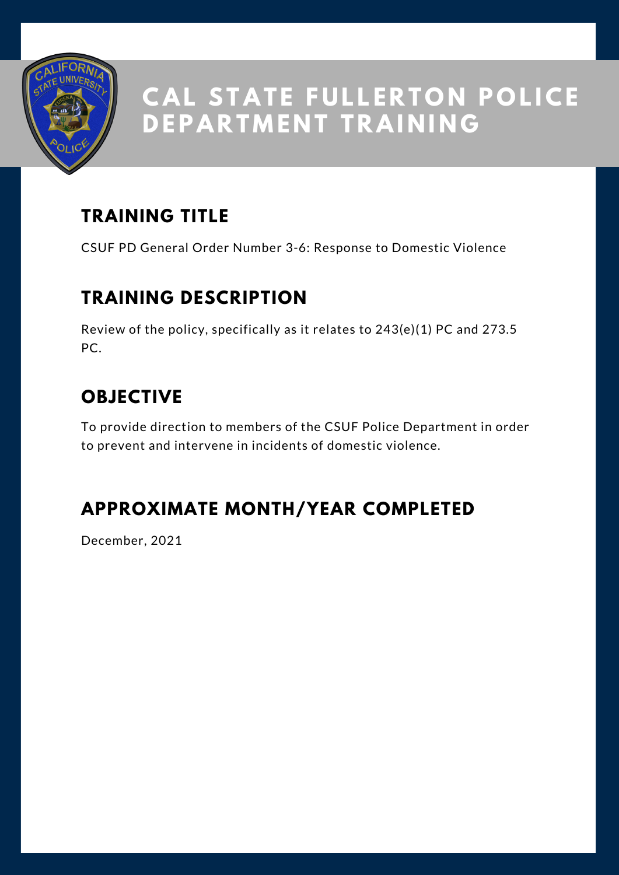

### **TRAINING TITLE**

CSUF PD General Order Number 3-6: Response to Domestic Violence

#### **TRAINING DESCRIPTION**

Review of the policy, specifically as it relates to 243(e)(1) PC and 273.5 PC.

## **OBJECTIVE**

To provide direction to members of the CSUF Police Department in order to prevent and intervene in incidents of domestic violence.

### **APPROXIMATE MONTH/YEAR COMPLETED**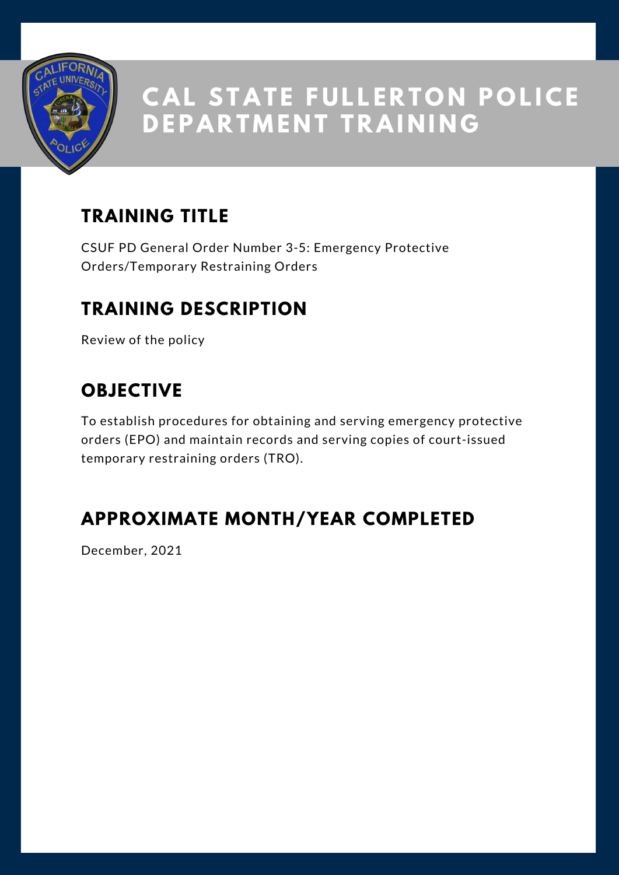

## **TRAINING TITLE**

CSUF PD General Order Number 3-5: Emergency Protective Orders/Temporary Restraining Orders

#### **TRAINING DESCRIPTION**

Review of the policy

## **OBJECTIVE**

To establish procedures for obtaining and serving emergency protective orders (EPO) and maintain records and serving copies of court-issued temporary restraining orders (TRO).

#### **APPROXIMATE MONTH/YEAR COMPLETED**